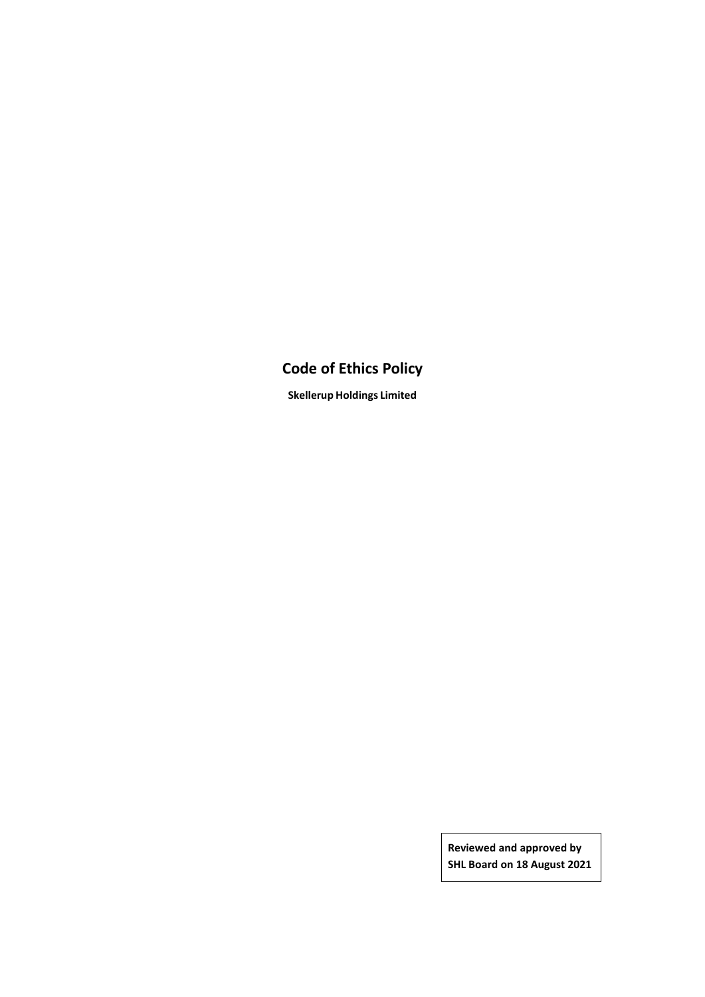# **Code of Ethics Policy**

**Skellerup Holdings Limited**

**Reviewed and approved by SHL Board on 18 August 2021**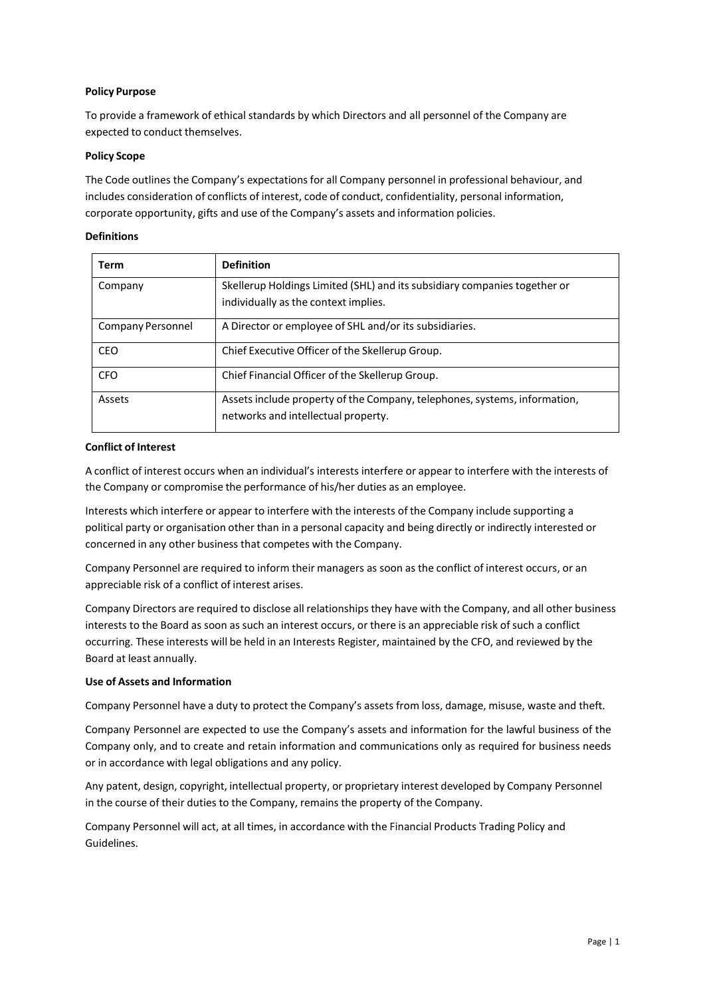## **Policy Purpose**

To provide a framework of ethical standards by which Directors and all personnel of the Company are expected to conduct themselves.

#### **Policy Scope**

The Code outlines the Company's expectations for all Company personnel in professional behaviour, and includes consideration of conflicts of interest, code of conduct, confidentiality, personal information, corporate opportunity, gifts and use of the Company's assets and information policies.

#### **Definitions**

| Term              | <b>Definition</b>                                                                                                 |
|-------------------|-------------------------------------------------------------------------------------------------------------------|
| Company           | Skellerup Holdings Limited (SHL) and its subsidiary companies together or<br>individually as the context implies. |
|                   |                                                                                                                   |
| Company Personnel | A Director or employee of SHL and/or its subsidiaries.                                                            |
| CEO               | Chief Executive Officer of the Skellerup Group.                                                                   |
| <b>CFO</b>        | Chief Financial Officer of the Skellerup Group.                                                                   |
| Assets            | Assets include property of the Company, telephones, systems, information,<br>networks and intellectual property.  |

#### **Conflict of Interest**

A conflict of interest occurs when an individual's interests interfere or appear to interfere with the interests of the Company or compromise the performance of his/her duties as an employee.

Interests which interfere or appear to interfere with the interests of the Company include supporting a political party or organisation other than in a personal capacity and being directly or indirectly interested or concerned in any other business that competes with the Company.

Company Personnel are required to inform their managers as soon as the conflict of interest occurs, or an appreciable risk of a conflict of interest arises.

Company Directors are required to disclose all relationships they have with the Company, and all other business interests to the Board as soon as such an interest occurs, or there is an appreciable risk of such a conflict occurring. These interests will be held in an Interests Register, maintained by the CFO, and reviewed by the Board at least annually.

## **Use of Assets and Information**

Company Personnel have a duty to protect the Company's assets from loss, damage, misuse, waste and theft.

Company Personnel are expected to use the Company's assets and information for the lawful business of the Company only, and to create and retain information and communications only as required for business needs or in accordance with legal obligations and any policy.

Any patent, design, copyright, intellectual property, or proprietary interest developed by Company Personnel in the course of their duties to the Company, remains the property of the Company.

Company Personnel will act, at all times, in accordance with the Financial Products Trading Policy and Guidelines.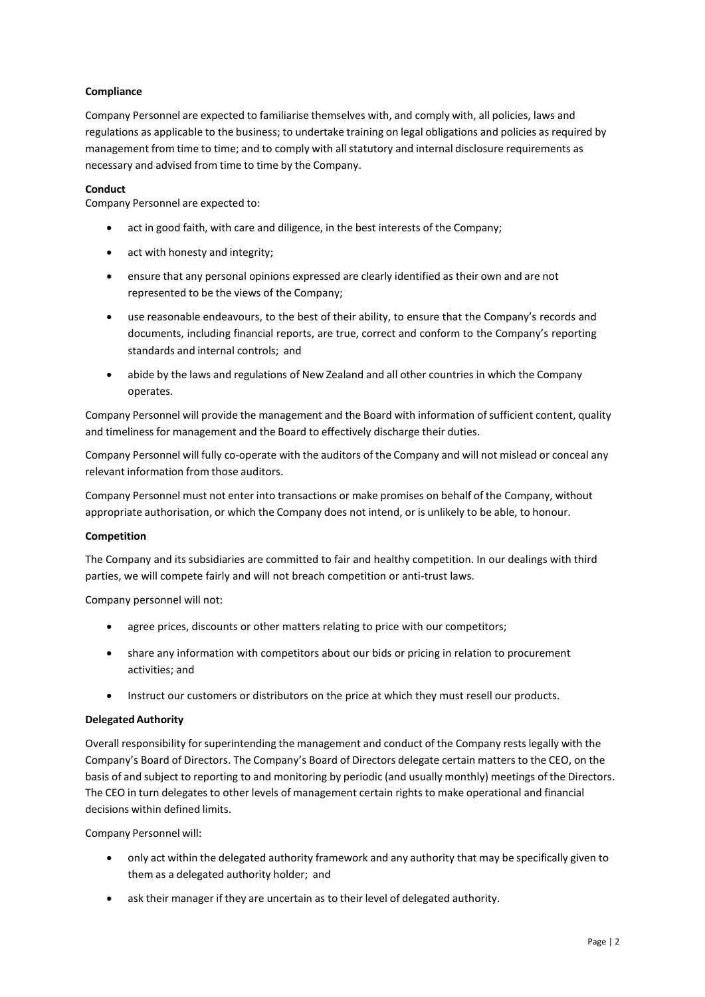# **Compliance**

Company Personnel are expected to familiarise themselves with, and comply with, all policies, laws and regulations as applicable to the business; to undertake training on legal obligations and policies as required by management from time to time; and to comply with all statutory and internal disclosure requirements as necessary and advised from time to time by the Company.

#### **Conduct**

Company Personnel are expected to:

- act in good faith, with care and diligence, in the best interests of the Company;
- act with honesty and integrity;
- ensure that any personal opinions expressed are clearly identified as their own and are not represented to be the views of the Company;
- use reasonable endeavours, to the best of their ability, to ensure that the Company's records and documents, including financial reports, are true, correct and conform to the Company's reporting standards and internal controls; and
- abide by the laws and regulations of New Zealand and all other countries in which the Company operates.

Company Personnel will provide the management and the Board with information ofsufficient content, quality and timeliness for management and the Board to effectively discharge their duties.

Company Personnel will fully co-operate with the auditors of the Company and will not mislead or conceal any relevant information from those auditors.

Company Personnel must not enter into transactions or make promises on behalf of the Company, without appropriate authorisation, or which the Company does not intend, or is unlikely to be able, to honour.

## **Competition**

The Company and its subsidiaries are committed to fair and healthy competition. In our dealings with third parties, we will compete fairly and will not breach competition or anti-trust laws.

Company personnel will not:

- agree prices, discounts or other matters relating to price with our competitors;
- share any information with competitors about our bids or pricing in relation to procurement activities; and
- Instruct our customers or distributors on the price at which they must resell our products.

#### **DelegatedAuthority**

Overall responsibility forsuperintending the management and conduct of the Company rests legally with the Company's Board of Directors. The Company's Board of Directors delegate certain matters to the CEO, on the basis of and subject to reporting to and monitoring by periodic (and usually monthly) meetings of the Directors. The CEO in turn delegates to other levels of management certain rights to make operational and financial decisions within defined limits.

Company Personnel will:

- only act within the delegated authority framework and any authority that may be specifically given to them as a delegated authority holder; and
- ask their manager if they are uncertain as to their level of delegated authority.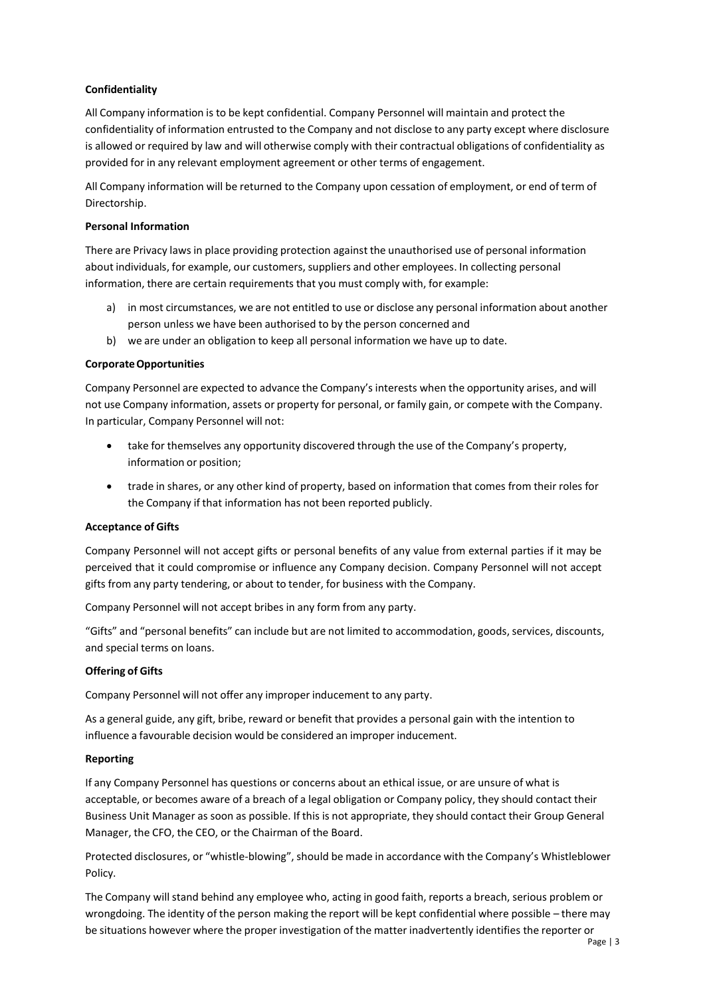# **Confidentiality**

All Company information is to be kept confidential. Company Personnel will maintain and protect the confidentiality of information entrusted to the Company and not disclose to any party except where disclosure is allowed or required by law and will otherwise comply with their contractual obligations of confidentiality as provided for in any relevant employment agreement or other terms of engagement.

All Company information will be returned to the Company upon cessation of employment, or end of term of Directorship.

## **Personal Information**

There are Privacy laws in place providing protection against the unauthorised use of personal information about individuals, for example, our customers, suppliers and other employees. In collecting personal information, there are certain requirements that you must comply with, for example:

- a) in most circumstances, we are not entitled to use or disclose any personal information about another person unless we have been authorised to by the person concerned and
- b) we are under an obligation to keep all personal information we have up to date.

## **CorporateOpportunities**

Company Personnel are expected to advance the Company's interests when the opportunity arises, and will not use Company information, assets or property for personal, or family gain, or compete with the Company. In particular, Company Personnel will not:

- take for themselves any opportunity discovered through the use of the Company's property, information or position;
- trade in shares, or any other kind of property, based on information that comes from their roles for the Company if that information has not been reported publicly.

## **Acceptance of Gifts**

Company Personnel will not accept gifts or personal benefits of any value from external parties if it may be perceived that it could compromise or influence any Company decision. Company Personnel will not accept gifts from any party tendering, or about to tender, for business with the Company.

Company Personnel will not accept bribes in any form from any party.

"Gifts" and "personal benefits" can include but are not limited to accommodation, goods,services, discounts, and special terms on loans.

## **Offering of Gifts**

Company Personnel will not offer any improper inducement to any party.

As a general guide, any gift, bribe, reward or benefit that provides a personal gain with the intention to influence a favourable decision would be considered an improper inducement.

## **Reporting**

If any Company Personnel has questions or concerns about an ethical issue, or are unsure of what is acceptable, or becomes aware of a breach of a legal obligation or Company policy, they should contact their Business Unit Manager as soon as possible. If this is not appropriate, they should contact their Group General Manager, the CFO, the CEO, or the Chairman of the Board.

Protected disclosures, or "whistle-blowing", should be made in accordance with the Company's Whistleblower Policy.

The Company will stand behind any employee who, acting in good faith, reports a breach, serious problem or wrongdoing. The identity of the person making the report will be kept confidential where possible – there may be situations however where the proper investigation of the matter inadvertently identifies the reporter or